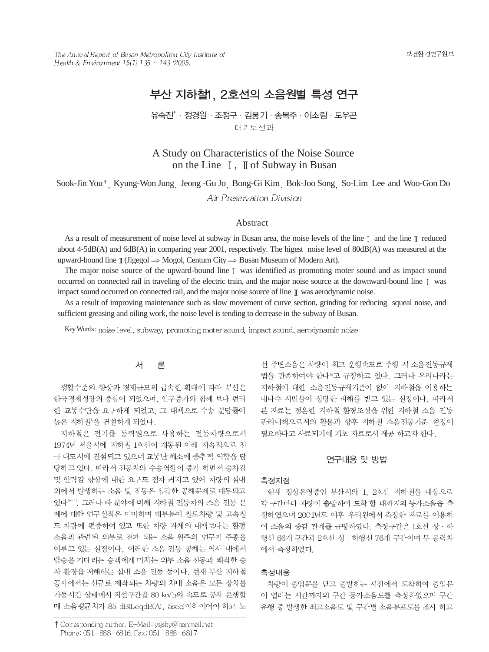보건환경연구원보

The Annual Report of Busan Metropolitan City Institute of Health & Environment  $15(1)$   $135 \sim 143$  (2005)

# 부산 지하철1. 2호선의 소음원별 특성 연구

### 유숙진'·정경원 · 조정구 · 김봉기 · 송복주 · 이소림 · 도우곤 대기보전과

## A Study on Characteristics of the Noise Source on the Line  $\mathbb{I}$ ,  $\mathbb{I}$  of Subway in Busan

Sook-Jin You<sup>\*</sup>, Kyung-Won Jung, Jeong -Gu Jo, Bong-Gi Kim, Bok-Joo Song, So-Lim Lee and Woo-Gon Do Air Preservation Division

#### Abstract

As a result of measurement of noise level at subway in Busan area, the noise levels of the line  $\mathbb I$  and the line  $\mathbb I$  reduced about 4-5dB(A) and 6dB(A) in comparing year 2001, respectively. The higest noise level of 80dB(A) was measured at the upward-bound line  $\mathbb{I}$  (Jigegol  $\Rightarrow$  Mogol, Centum City  $\Rightarrow$  Busan Museum of Modern Art).

The major noise source of the upward-bound line [ was identified as promoting moter sound and as impact sound occurred on connected rail in traveling of the electric train, and the major noise source at the downward-bound line  $\bar{I}$  was impact sound occurred on connected rail, and the major noise source of line  $\mathbb I$  was aerodynamic noise.

As a result of improving maintenance such as slow movement of curve section, grinding for reducing squeal noise, and sufficient greasing and oiling work, the noise level is tending to decrease in the subway of Busan.

Key Words: noise level, subway, promoting moter sound, impact sound, aerodynamic noise

#### 서 론

생활수준의 향상과 경제규모의 급속한 확대에 따라 부산은 한국경제성장의 중심이 되었으며, 인구증가와 함께 보다 편리 한 교통수단을 요구하게 되었고, 그 대책으로 수송 분담률이 높은 지하철"을 건설하게 되었다.

지하철은 전기를 동력원으로 사용하는 전동차량으로서 1974년 서울시에 지하철 1호선이 개통된 이래 지속적으로 전 국 대도시에 건설되고 있으며 교통난 해소에 중추적 역할을 담 당하고 있다. 따라서 전동차의 수송역할이 증가 하면서 승차감 및 안락감 향상에 대한 요구도 접차 커지고 있어 차량의 실내 외에서 발생하는 소음 및 진동은 심각한 공해문제로 대두되고 있다<sup>2~4)</sup>. 그러나 타 분야에 비해 지하철 전동차의 소음 진동 문 제에 대한 연구실적은 미미하며 대부분이 철도차량 및 고속철 도 차량에 편중하여 있고 또한 차량 자체의 대책보다는 환경 소음과 관련된 외부로 전파 되는 소음 위주의 연구가 주종을 이루고 있는 실정이다. 이러한 소음 진동 공해는 역사 내에서 탑승을 기다리는 승객에게 미치는 외부 소음 진동과 쾌적한 승 차 환경을 저해하는 실내 소음 진동 등이다. 현재 부산 지하철 공사에서는 신규로 제작되는 차량의 차내 소음은 모든 장치를 가동시킨 상태에서 직선구간을 80 km/h의 속도로 공차 운행할 때 소음평균치가 85 dB(LeqdB(A), 5sec)이하이어야 하고 노

† Corresponding author. E-Mail: ysjsby@hanmail.net Phone: 051-888-6816, Fax: 051-888-6817

선 주변소음은 차량이 최고 운행속도로 주행 시 소음진동규제 법을 만족하여야 한다<sup>9</sup>고 규정하고 있다. 그러나 우리나라는 지하철에 대한 소음진동규제기준이 없어 지하철을 이용하는 대다수 시민들이 상당한 피해를 받고 있는 실정이다. 따라서 본 자료는 정온한 지하철 환경조성을 위한 지하철 소음 진동 관리대책으로서의 활용과 향후 지하철 소음진동기준 설정이 필요하다고 사료되기에 기초 자료로서 제공 하고자 한다.

#### 연구내용 및 방법

#### 측정지점

현재 정상운영중인 부산시의 1, 2호선 지하철을 대상으로 각 구간마다 차량이 출발하여 도착 할 때까지의 등가소음을 측 정하였으며 2001년도 이후 우리원에서 측정한 자료를 이용하 여 소음의 증감 관계를 규명하였다. 측정구간은 1호선 상 · 하 행선 66개 구간과 2호선 상 · 하행선 76개 구간이며 무 동력차 에서 측정하였다.

#### 측정내용

차량이 출입문을 닫고 출발하는 시점에서 도착하여 출입문 이 열리는 시간까지의 구간 등가소음도를 측정하였으며 구간 운행 중 발생한 최고소음도 및 구간별 소음분포도를 조사 하고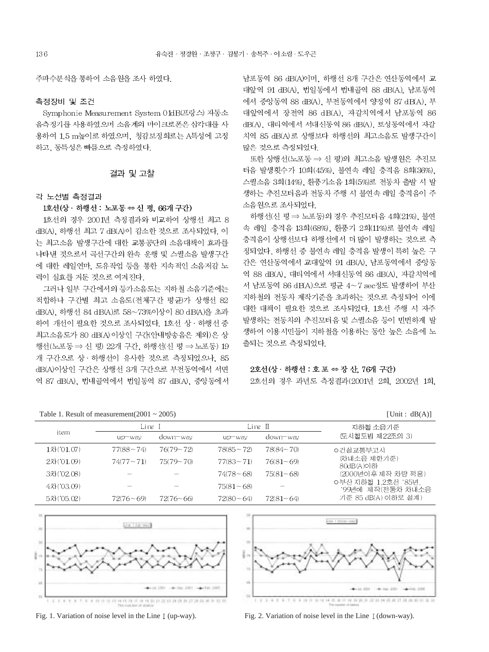주파수분석을 통하여 소음원을 조사 하였다.

#### 측정장비 및 조건

Symphonie Measurement System 01dB(프랑스) 자동소 음측정기를 사용하였으며 소음계의 마이크로폰은 삼각대를 사 용하여 1.5 m높이로 하였으며, 청감보정회로는 A특성에 고정 하고, 동특성은 빠름으로 측정하였다.

#### 결과 및 고찰

#### 각 노선별 측정결과

#### 1호선(상 · 하행선 : 노포동 ⇔ 신 평, 66개 구간)

1호선의 경우 2001년 측정결과와 비교하여 상행선 최고 8 dB(A), 하행선 최고 7 dB(A)이 감소한 것으로 조사되었다. 이 는 최고소음 발생구간에 대한 교통공단의 소음대책이 효과를 나타낸 것으로서 곡선구간의 완속 운행 및 스퀼소음 발생구간 에 대한 레일연마, 도유작업 등을 통한 지속적인 소음저감 노 력이 실효를 거둔 것으로 여겨진다.

그러나 일부 구간에서의 등가소음도는 지하철 소음기준에는 적합하나 구간별 최고 소음도(전체구간 평균)가 상행선 82 dB(A), 하행선 84 dB(A)로 58~73%이상이 80 dB(A)을 초과 하여 개선이 필요한 것으로 조사되었다. 1호선 상 · 하행선 중 최고소음도가 80 dB(A) 이상인 구간(안내방송음은 제외)은 상 행선 (노포동 ⇒ 신 평) 22개 구간, 하행선 (신 평 ⇒ 노포동) 19 개 구간으로 상· 하행선이 유사한 것으로 측정되었으나. 85 dB(A)이상인 구간은 상행선 3개 구간으로 부전동역에서 서면 역 87 dB(A), 법내골역에서 법일동역 87 dB(A), 중앙동에서 남포동역 86 dB(A)이며, 하행선 8개 구간은 연산동역에서 교 대앞역 91 dB(A), 범일동에서 범내골역 88 dB(A), 남포동역 에서 중앙동역 88 dB(A), 부전동역에서 양정역 87 dB(A), 부 대앞역에서 장전역 86 dB(A), 자갈치역에서 남포동역 86 dB(A), 대티역에서 서대신동역 86 dB(A), 토성동역에서 자갈 치역 85 dB(A) 로 상행보다 하행선의 최고소음도 발생구간이 많은 것으로 측정되었다.

또한 상행선(노포동 ⇒ 신 평)의 최고소음 발생원은 추진모 터음 발생횟수가 10회(45%), 불연속 레일 충격음 8회(36%), 스퀼소음 3회(14%), 환풍기소음 1회(5%)로 전동차 출발 시 발 생하는 추진모터음과 전동차 주행 시 불연속 레일 충격음이 주 소음원으로 조사되었다.

하행선(신 평 => 노포동)의 경우 추진모터음 4회(21%), 불연 속 레일 충격음 13회(68%), 환풍기 2회(11%)로 불연속 레일 충격음이 상행선보다 하행선에서 더 많이 발생하는 것으로 측 정되었다. 하행선 중 불연속 레일 충격음 발생이 특히 높은 구 간은 연산동역에서 교대앞역 91 dB(A), 남포동역에서 중앙동 역 88 dB(A), 대티역에서 서대신동역 86 dB(A), 자갈치역에 서 남포동역 86 dB(A)으로 평균 4~7 sec정도 발생하여 부산 지하철의 전동차 제작기준을 초과하는 것으로 측정되어 이에 대한 대책이 필요한 것으로 조사되었다. 1호선 주행 시 자주 발생하는 전동차의 추진모터음 및 스퀼소음 등이 빈번하게 발 생하여 이용시민들이 지하철을 이용하는 동안 높은 소음에 노 출되는 것으로 측정되었다.

#### $22d($ 상 · 하행선 : 호 포  $\Leftrightarrow$  장 산, 76개 구간)

2호선의 경우 과년도 측정결과(2001년 2회, 2002년 1회,

 $[1]init \cdot dR(\Delta)]$ 

Table 1. Result of measurement(2001  $\approx$  2005)

|            | $1.4010 \pm 1.1000$ are the contractive measurement $2000 \pm 1.0000$ |               |                 |               | $UIII$ , $UU1$                           |
|------------|-----------------------------------------------------------------------|---------------|-----------------|---------------|------------------------------------------|
|            | Line I                                                                |               | Line II         |               | 지하철 소음기준                                 |
| item       | $up$ $-w$ av                                                          | down-way      | $up$ $-w$ a $v$ | down-way      | (도시철도법 제22조의 3)                          |
| 1차('01.07) | $77(88 - 74)$                                                         | $76(79 - 72)$ | $78(85 - 72)$   | $78(84 - 70)$ | ㅇ건설교통부고시                                 |
| 2차('01.09) | $74(77 - 71)$                                                         | $75(79 - 70)$ | $77(83 - 71)$   | $76(81 - 69)$ | (차내소음 제한기준)<br>80dB(A)이하                 |
| 3차('02.08) |                                                                       |               | $74(78 - 68)$   | $75(81 - 68)$ | (2000년이후 제작 차량 적용)                       |
| 4차('03.09) |                                                                       |               | $75(81 - 68)$   |               | ㅇ부산 지하철 1.2호선 '85년,<br>'99년에 제작(전동차 차내소음 |
| 5차('05.02) | $72(76-69)$                                                           | $72(76 - 66)$ | $72(80 - 64)$   | $72(81 - 64)$ | 기준 85 dB(A) 이하로 설계)                      |
|            |                                                                       |               |                 |               |                                          |







Fig. 2. Variation of noise level in the Line I (down-way).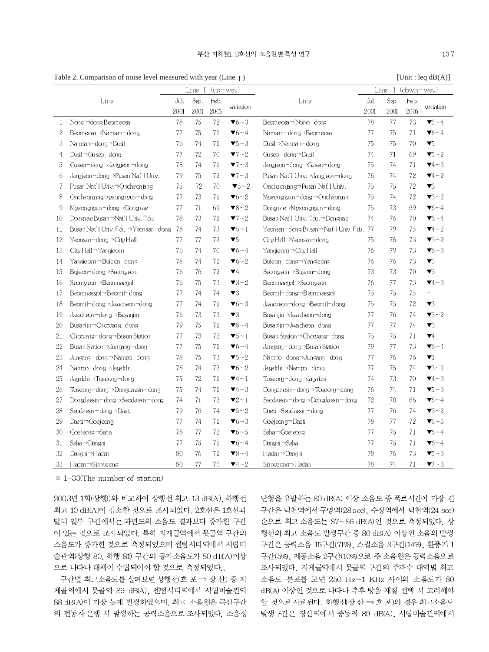Table 2. Comparison of noise level measured with year (Line 1) [Unit : leq dB(A)]

|              | Fabre 2. Comparison of noise fever measured while year (Effice) $\mu$ |      |      |                   |                               |                                            |      |                     |      | $\lbrack \text{OIII} \cdot \text{ICQ } \text{UD}(A) \rbrack$ |
|--------------|-----------------------------------------------------------------------|------|------|-------------------|-------------------------------|--------------------------------------------|------|---------------------|------|--------------------------------------------------------------|
|              |                                                                       |      |      | Line I $(up-way)$ |                               |                                            |      | Line I $(down-way)$ |      |                                                              |
|              | Line                                                                  | Jul. | Sep. | Feb.              | variation                     | Line                                       | Jul. | Sep.                | Feb. | variation                                                    |
|              |                                                                       | 2001 | 2001 | $200\,$           |                               |                                            | 2001 | 2001                | 2005 |                                                              |
| $\mathbf{1}$ | Nopo ->dong Beomeosa                                                  | 78   | 75   | 72                | $\blacktriangledown_6 - 3$    | Beomeosa→Nopo-dong                         | 78   | 77                  | 73   | $\blacktriangledown$ 5 ~ 4                                   |
| 2            | Beomeosa $\rightarrow$ Namsan-dong                                    | 77   | 75   | 71                | $\blacktriangledown_6 - 4$    | Namsan-dong⇒Beomeosa                       | 77   | 75                  | 71   | $\blacktriangledown_6 - 4$                                   |
| 3            | Namsan-dong⇒Dusil                                                     | 76   | 74   | 71                | $\blacktriangledown 5 - 3$    | Dusil→Namsan-dong                          | 75   | 75                  | 70   | $\blacktriangledown_5$                                       |
| 4            | Dusil $\rightarrow$ Guseo – dong                                      | 77   | 72   | 70                | $\blacktriangledown$ 7 ~ 2    | Guseo-dong →Dusil                          | 74   | 71                  | 69   | $\blacktriangledown$ 5 ~ 2                                   |
| 5            | Guseo-dong $\rightarrow$ Jangjeon-dong                                | 78   | 74   | 71                | $\blacktriangledown$ ~3       | Jangjeon –dong →Guseo – dong               | 75   | 74                  | 71   | $\Psi 4 \sim 3$                                              |
| 6            | Jangjeon−dong⇒Pusan Nať I Univ.                                       | 79   | 75   | 72                | $\blacktriangledown$ 7 ~ 3    | Pusan Nat'l Univ.⇒Jangjeon−dong            | 76   | 74                  | 72   | $\Psi 4 - 2$                                                 |
| 7            | Pusan Nat'l Univ.⇒Oncheonjang                                         | 75   | 72   | 70                | $\blacktriangledown 5 - 2$    | Oncheonjang→Pusan Nat'l Univ.              | 75   | 75                  | 72   | $\blacktriangledown$                                         |
| 8            | Oncheon inng $\rightarrow$ veongnyun – dong                           | 77   | 73   | 71                | $\blacktriangledown_6 \sim 2$ | Mveongnvun−dong⇒Oncheonian                 | 75   | 74                  | 72   | $\blacktriangledown$ 3~2                                     |
| 9            | Myeongnyun-dong $\rightarrow$ Dongnae                                 | 77   | 71   | 69                | $\blacktriangledown 8 - 2$    | Dongnae⇒Myeongnyun−dong                    | 75   | 73                  | 69   | $\nabla 6 - 4$                                               |
| 10           | Dongnae Busan ->Nat' I Univ. Edu.                                     | 78   | 73   | 71                | $\blacktriangledown$ 7 ~ 2    | Busan Nat'l Univ. Edu. → Dongnae           | 74   | 76                  | 70   | $\blacktriangledown_6 - 4$                                   |
| 11           | Busan Nat' I Univ. Edu. $\rightarrow$ Yeonsan-dong                    | -78  | 74   | 73                | $\blacktriangledown 5 - 1$    | Yeonsan–dong Busan⇒Nať I Univ. Edu. 77     |      | 79                  | 75   | $\Psi$ 4~2                                                   |
| 12           | Yeonsan-dong → City Hall                                              | 77   | 77   | 72                | $\blacktriangledown_5$        | $City$ Hall $\rightarrow$ Yeonsan-dong     | 75   | 76                  | 73   | $\blacktriangledown$ 3~2                                     |
| 13           | City Hall $\rightarrow$ Yangjeong                                     | 76   | 74   | 70                | $\blacktriangledown_6 - 4$    | Yangjeong⇒CityHall                         | 76   | 79                  | 73   | $\blacktriangledown_6 - 3$                                   |
| 14           | Yangjeong →Bujeon-dong                                                | 78   | 74   | 72                | $\blacktriangledown_6 \sim 2$ | Bujeon-dong⇒Yangjeong                      | 76   | 76                  | 73   | $\blacktriangledown$                                         |
| 15           | Bujeon-dong->Seomyeon                                                 | 76   | 76   | 72                | $\blacktriangledown 4$        | Seomyeon→Bujeon-dong                       | 73   | 73                  | 70   | $\blacktriangledown$                                         |
| 16           | Seomyeon →Beomnaegol                                                  | 76   | 75   | 73                | $\blacktriangledown$ 3~2      | Beomnaegol⇒Seomyeon                        | 76   | 77                  | 73   | $\Pi_4 - 3$                                                  |
| 17           | Beomnaegol $\rightarrow$ Beomil-dong                                  | 77   | 74   | 74                | $\blacktriangledown$ 3        | Beomil−dong→Beomnaegol                     | 75   | 75                  | 75   | $\overline{\phantom{0}}$                                     |
| 18           | Beomil-dong $\rightarrow$ Jwacheon-dong                               | 77   | 74   | 71                | $\blacktriangledown_6 - 3$    | Jwacheon−dong⇒Beomil−dong                  | 75   | 75                  | 72   | $\blacktriangledown$                                         |
| 19           | Jwacheon-dong⇒Busanjin                                                | 76   | 73   | 73                | $\blacktriangledown 3$        | Busaniin→Jwacheon-dong                     | 77   | 76                  | 74   | $\blacktriangledown$ 3~2                                     |
| 20           | Busanjin ⇒Choryang– dong                                              | 79   | 75   | 71                | $\blacktriangledown 8 - 4$    | Busanjin⇒Jwacheon-dong                     | 77   | 77                  | 74   | $\blacktriangledown$                                         |
| 21           | $Choyang-dong \rightarrow Busan Station$                              | 77   | 73   | 72                | $\blacktriangledown 5 - 1$    | Busan Station $\rightarrow$ Chorvang-dong  | 75   | 75                  | 71   | $\Psi$ 4                                                     |
| 22           | Busan Station $\rightarrow$ Jungang – dong                            | 77   | 75   | 71                | $\blacktriangledown_6 - 4$    | Jungang−dong →Busan Station                | 79   | 77                  | 73   | $\blacktriangledown_6 - 4$                                   |
| 23           | Jungang−dong →Nampo−dong                                              | 78   | 75   | 73                | $\blacktriangledown$ 5~2      | Nampo–dong⇒Jungang–dong                    | 77   | 76                  | 76   | $\blacktriangledown$                                         |
| 24           | Nampo-dong⇒Jagalchi                                                   | 78   | 74   | 72                | $\blacktriangledown_6 - 2$    | Jagalchi∋Nampo–dong                        | 77   | 75                  | 74   | $\blacktriangledown$ 3~1                                     |
| 25           | Jagalchi⇒Toseong-dong                                                 | 75   | 72   | 71                | $\Psi_4 - 1$                  | Toseong-dong⇒Jagalchi                      | 74   | 73                  | 70   | $\Psi 4 - 3$                                                 |
| 26           | Tose ong-dong $\rightarrow$ Dongdaesin – dong                         | 75   | 74   | 71                | $\Psi$ 4~3                    | Dongdaesin-dong $\rightarrow$ Toseong-dong | 76   | 74                  | 71   | $\blacktriangledown$ 5~3                                     |
| 27           | Dongdaesin−dong⇒Seodaesin−dong                                        | 74   | 71   | 72                | $\blacktriangledown 2 - 1$    | Seodaesin−dong⇒Dongdaesin−dong             | 72   | 70                  | 66   | $\blacktriangledown_6 - 4$                                   |
| 28           | Seodaesin – dong $\rightarrow$ Daeti                                  | 79   | 76   | 74                | $\blacktriangledown 5 - 2$    | Daeti⇒Seodaesin – dong                     | 77   | 76                  | 74   | $\blacktriangledown$ 3~2                                     |
| 29           | Daeti $\rightarrow$ Goejeong                                          | 77   | 74   | 71                | $\Psi_6 \sim 3$               | Goejeong⇒Daeti                             | 78   | 77                  | 72   | $\blacktriangledown_6 \sim 5$                                |
| 30           | Goejeong <sup>-&gt;</sup> Saha                                        | 78   | 77   | 72                | $\blacktriangledown_6 - 5$    | Saha →Goejeong                             | 77   | 75                  | 71   | $\blacktriangledown_6 - 4$                                   |
| 31           | Saha → Dangni                                                         | 77   | 75   | 71                | $\blacktriangledown_6 - 4$    | Dangni⇒Saha                                | 77   | 75                  | 71   | $\blacktriangledown_6 - 4$                                   |
| 32           | Dangni⇒Hadan                                                          | 80   | 76   | 72                | $\blacktriangledown 8 - 4$    | Hadan⇒Dangni                               | 78   | 76                  | 73   | $\blacktriangledown$ 5~3                                     |
| 33           | $H$ adan $\rightarrow$ Sinpyeong                                      | 80   | 77   | 76                | $\Psi$ 4~2                    | Sinpyeong⇒Hadan                            | 78   | 74                  | 71   | $\blacktriangledown$ - 3                                     |
|              | $\Omega$<br>$\mathbf{a}$ and $\mathbf{a}$ and $\mathbf{a}$            |      |      |                   |                               |                                            |      |                     |      |                                                              |

 $\frac{1}{2}$  1-33(The number of station)

2003년 1회(상행))와 비교하여 상행선 최고 13 dB(A), 하행선 최고 10 dB(A)이 감소한 것으로 조사되었다. 2호선은 1호선과 달리 일부 구간에서는 과년도의 소음도 결과보다 증가한 구간 이 있는 것으로 조사되었다. 특히 지게골역에서 못골역 구간의 소음도가 증가한 것으로 측정되었으며 센텀시티역에서 시립미 술관역(상행 80, 하행 81) 구간의 등가소음도가 80 dB(A)이상 으로 나타나 대책이 수립되어야 할 것으로 측정되었다..

구간별 최고소음도를 살펴보면 상행선(호 포⇒ 장 산) 중 지 게골역에서 못골역 89 dB(A), 센텀시티역에서 시립미술관역 88 dB(A)이 가장 높게 발생하였으며, 최고 소음원은 곡선구간 의 전동차 운행 시 발생하는 공력소음으로 조사되었다. 소음성 난청을 유발하는 80 dB(A) 이상 소음도 중 폭로시간이 가장 긴 구간은 덕천역에서 구명역(28 sec), 수정역에서 덕천역(24 sec) 순으로 최고 소음도는 87~86 dB(A)인 것으로 측정되었다. 상 행선의 최고 소음도 발생구간 중 80 dB(A) 이상인 소음의 발생 구간은 공력소음 15구간(71%), 스퀼소음 3구간(14%), 환풍기 1 구간(5%), 제동소음 2구간(10%)으로 주 소음원은 공력소음으로 조사되었다. 지게골역에서 못골역 구간의 주파수 대역별 최고 소음도 분포를 보면 250 Hz~1 KHz 사이의 소음도가 80 dB(A) 이상인 것으로 나타나 추후 방음 재질 선택 시 고려해야 할 것으로 사료된다. 하행선(장산 ⇒ 호 포)의 경우 최고소음도 발생구간은 장산역에서 중동역 89 dB(A), 시립미술관역에서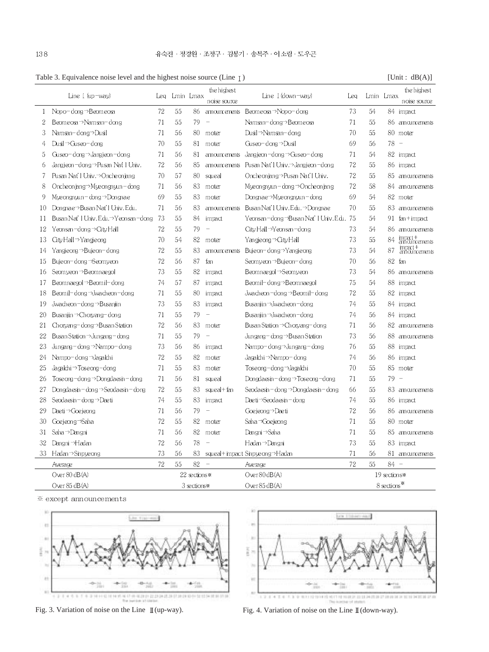Table 3. Equivalence noise level and the highest noise source (Line I) [Unit : dB(A)]

|                  | Line $I$ (up-way)                             | Leg | Lmin Lmax    |               | the highest<br>noise source | Line $I$ (down-way)                                   | Leg                      |    | Lmin Lmax     | the highest<br>noise source |
|------------------|-----------------------------------------------|-----|--------------|---------------|-----------------------------|-------------------------------------------------------|--------------------------|----|---------------|-----------------------------|
| $\mathbf{1}$     | Nopo-dong $\neg$ Beomeosa                     | 72  | 55           | 86            |                             | amouncements Beomeosa→Nopo-dong                       | 73                       | 54 |               | 84 impact                   |
| $\boldsymbol{2}$ | Beomeosa $\rightarrow$ Namsan-dong            | 71  | 55           | 79            | $\overline{\phantom{0}}$    | Namsan–dong⇒B <i>e</i> omeosa                         | 71                       | 55 |               | 86 amouncements             |
| 3                | Namsan-dong⇒Dusil                             | 71  | 56           | 80            | moter                       | Dusil⇒Namsan– dong                                    | 70                       | 55 |               | 80 moter                    |
| 4                | Dusil→Guseo-dong                              | 70  | 55           | 81            | moter                       | Guseo-dong $\neg$ Dusil                               | 69                       | 56 | $78 -$        |                             |
| 5                | Guseo-dong $\rightarrow$ Jangjeon-dong        | 71  | 56           | 81            |                             | $amnum$ ements Jangjeon-dong $\rightarrow$ Guseo-dong | 71                       | 54 |               | 82 impact                   |
| 6                | Jangieon −dong →Pusan Nat I Univ.             | 72  | 56           | 85            |                             | amouncements Pusan Nat'l Univ.⇒Jangieon−dong          | 72                       | 55 |               | 86 impact                   |
| 7                | Pusan Nat'l Univ.⇒Oncheoniang                 | 70  | 57           | 80            | squeal                      | Oncheonjang→Pusan Nat'l Univ.                         | 72                       | 55 | 85            | amouncements                |
| 8                | Oncheoniang $\rightarrow$ Mueongnuun $-$ dong | 71  | 56           | 83            | moter                       | Mueongnuun-dong $\rightarrow$ Oncheoniang             | 72                       | 58 | 84            | amouncements                |
| 9                | Myeongnyun-dong $\rightarrow$ Dongnae         | 69  | 55           | 83            | moter                       | Dongnae⇒Myeongnyun−dong                               | 69                       | 54 | 82            | moter                       |
| 10               | Dongnae→Busan Nat'l Univ.Edu.                 | 71  | 56           | 83            |                             | amouncements Busan Nat'l Univ. Edu.→Dongnae           | 70                       | 55 | 83            | amouncements                |
| 11               | Busan Nat'l Univ. Edu.→Yeonsan-dong           | -73 | 55           | 84            | impact                      | Yeonsan–dong →Busan Nat'l Univ. Edu. 75               |                          | 54 |               | 91 $f_{cm}$ + impact        |
| 12               | Yeonsan-dong⇒City Hall                        | 72  | 55           | 79            | $\equiv$                    | City Hall→Yeonsan-dong                                | 73                       | 54 | 86.           | amouncements                |
| 13               | City Hall $\rightarrow$ Yangjeong             | 70  | 54           | 82            | moter                       | Yangieong → City Hall                                 | 73                       | 55 | 84            | impact+<br>announcements    |
| 14               | Yangjeong⇒Bujeon-dong                         | 72  | 55           | 83            | <i>amouncements</i>         | Bujeon-dong⇒Yangjeong                                 | 73                       | 54 | 87            | impact+<br>announcements    |
| 15               | Bujeon−dong→Seomveon                          | 72  | 56           | 87            | fan                         | Seomveon ⇒Buie on- dong                               | 70                       | 56 | 82            | fan                         |
| 16               | Seomyeon → Beomnaegol                         | 73  | 55           | 82            | impact                      | Beomnægol⇒Seomyeon                                    | 73                       | 54 | 86.           | amouncements                |
| 17               | Beomnaegol→Beomil-dong                        | 74  | 57           | 87            | impact                      | Beomi⊢dong⇒Beomnaegol                                 | 75                       | 54 | 88            | impact                      |
| 18               | Beomil-dong→Jwacheon-dong                     | 71  | 55           | 80            | impact                      | Jwacheon−dong→Beomil−dong                             | 72                       | 55 |               | 82 impact                   |
| 19               | Jwacheon-dong→Busanjin                        | 73  | 55           | 83            | impact                      | Busaniin →Jwacheon-dong                               | 74                       | 55 |               | 84 impact                   |
| 20               | Busaniin $\rightarrow$ Chorvang-dong          | 71  | 55           | 79            |                             | Busaniin →Jwacheon-dong                               | 74                       | 56 |               | 84 impact                   |
| 21               | Choryang-dong $\rightarrow$ Busan Station     | 72  | 56           | 83            | moter                       | Busan Station ⇒Choryang– dong                         | 71                       | 56 |               | 82 amouncements             |
| 22               | Busan Station $\rightarrow$ Jungang – dong    | 71  | 55           | 79            | $\overline{\phantom{a}}$    | $Jungang-dong \rightarrow Busan Station$              | 73                       | 56 |               | 88 amouncements             |
| 23               | $Jungang-dong \rightarrow Nampo-dong$         | 73  | 56           | 86            | impact                      | Nampo-dong⇒Jungang-dong                               | 76                       | 55 |               | 88 impact                   |
| 24               | Nampo–dong⇒Jagalchi                           | 72  | 55           | 82            | moter                       | Jagalchi⇒Nampo–dong                                   | 74                       | 56 |               | 86 impact                   |
| 25               | Jagalchi → Toseong – dong                     | 71  | 55           | 83            | moter                       | Toseong−dong⇒Jagalchi                                 | 70                       | 55 |               | 85 moter                    |
| 26               | Toseong-dong $\rightarrow$ Dongdaesn-dong     | 71  | 56           | 81            | squeal                      | Dongdaesin – dong $\rightarrow$ Toseong – dong        | 71                       | 55 | $79 -$        |                             |
| 27               | Dongdaesin−dong⇒Seodaesin−dong                | 72  | 55           | 83            | squeal+fan                  | Seodaesin−dong⇒Dongdaesin−dong                        | 66                       | 55 |               | 83 amouncements             |
| 28               | Seodaesin – dong ⇒Daeti                       | 74  | 55           | 83            | impact                      | Daeti⇒Seodaesin−dong                                  | 74                       | 55 |               | 86 impact                   |
| 29               | Dæti⇒Goejeong                                 | 71  | 56           | 79            | ÷,                          | Goeieong⇒Daeti                                        | 72                       | 56 | 86.           | amouncements                |
| 30               | Goejeong <sup>-</sup> Saha                    | 72  | 55           | 82            | moter                       | Saha → Goejeong                                       | 71                       | 55 |               | 80 moter                    |
| 31               | Saha →Dangni                                  | 71  | 56           | 82            | moter                       | Dangni⇒Saha                                           | 71                       | 55 |               | 85 amouncements             |
| 32               | Dangni →Hadan                                 | 72  | 56           | 78            | $\overline{\phantom{0}}$    | Hadan ⇒Dangni                                         | 73                       | 55 |               | 83 impact                   |
| 33.              | Hadan $\rightarrow$ Sinpy eong                | 73  | 56           | 83            |                             | squeal+impact Sinpyeong⇒Hadan                         | 71                       | 56 | 81.           | amouncements                |
|                  | Average                                       | 72  | 55           | 82            |                             | Average                                               | 72                       | 55 | $84 -$        |                             |
|                  | Over $80$ dB(A)                               |     |              | 22 sections * |                             | Over $80$ dB(A)                                       |                          |    | 19 sections * |                             |
|                  | Over 85 dB(A)                                 |     | 3 sections * |               |                             | Over 85 dB(A)                                         | 8 sections <sup>**</sup> |    |               |                             |

 $\mathbb X$  except announcements





Fig. 3. Variation of noise on the Line  $\mathbb I$  (up-way). Fig. 4. Variation of noise on the Line  $\mathbb I$  (down-way).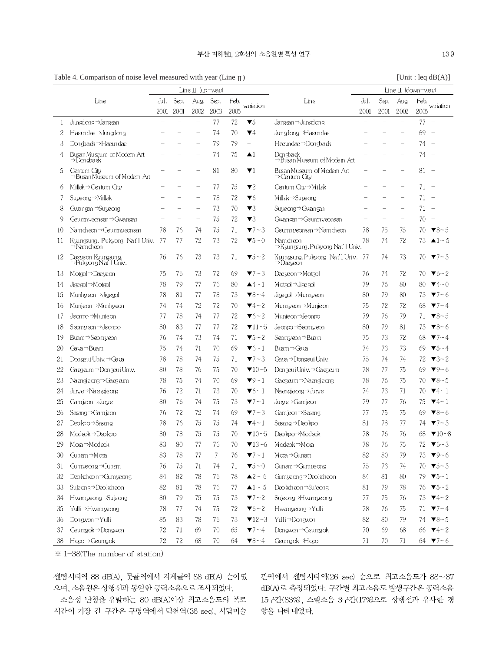Table 4. Comparison of noise level measured with year (Line  $\mathbb{I}$ ) [Unit : leq dB(A)]

|    | Line $II$ (up-way)                          |      |      |                          |                |      |                                                                           |                                               | Line $II$ (down-way) |                          |                          |      |                               |  |
|----|---------------------------------------------|------|------|--------------------------|----------------|------|---------------------------------------------------------------------------|-----------------------------------------------|----------------------|--------------------------|--------------------------|------|-------------------------------|--|
|    | Line                                        |      | Sep. | Aug                      | Sep.           | Feb. |                                                                           | Line                                          | Jul.                 | Sep.                     | Aug.                     | Feb. |                               |  |
|    |                                             | 2001 | 2001 | 2002                     | 2003           | 2005 | variation                                                                 |                                               | 2001                 | 2001                     | 2002                     | 2005 | variation                     |  |
| 1  | Jungdong ->Jangsan                          |      |      | $\qquad \qquad -$        | 77             | 72   | $\blacktriangledown_5$                                                    | Jangsan → Jungdong                            |                      |                          |                          | 77   | $\sim$                        |  |
| 2  | Haeundae $\rightarrow$ Jungdong             |      |      |                          | 74             | 70   | $\Psi 4$                                                                  | Jungdong Haeundae                             |                      |                          |                          | 69   | $\overline{\phantom{a}}$      |  |
| 3  | Donsbaek → Haeundae                         |      |      |                          | 79             | 79   | $\hspace{1.0cm} \rule{1.5cm}{0.15cm} \hspace{1.0cm} \rule{1.5cm}{0.15cm}$ | Haeundae⇒Dongbaek                             |                      |                          |                          | 74   | $\sim$                        |  |
| 4  | Busan Museum of Modem Art<br>⇒Dongbaek      |      |      |                          | 74             | 75   | $\blacktriangle$ 1                                                        | Dongback<br>⇒Busan Museum of Modem Art        |                      |                          |                          | 74   | $\overline{\phantom{a}}$      |  |
| 5  | Centum City<br>⇒Busan Museum of Modem Art   |      |      |                          | 81             | 80   | $\blacktriangledown$ 1                                                    | Busan Museum of Modem Art<br>⇒Centum Citv     |                      |                          |                          | 81   | $\overline{\phantom{a}}$      |  |
| 6  | Millak $\rightarrow$ Centum City            |      |      |                          | 77             | 75   | $\blacktriangledown$                                                      | Centum City⇒Millak                            |                      |                          |                          | 71   | $\sim$                        |  |
| 7  | Suyeong⇒Millak                              |      |      |                          | 78             | 72   | $\blacktriangledown_6$                                                    | Millak⇒Suveong                                |                      |                          |                          | 71   | $\overline{\phantom{a}}$      |  |
| 8  | Gwangan →Suyeong                            |      |      | $\overline{\phantom{0}}$ | 73             | 70   | $\blacktriangledown$ 3                                                    | Suyeong → Gwangan                             |                      |                          |                          | 71   | $\overline{\phantom{a}}$      |  |
| 9  | Geumnyeonsan → Gwangan                      |      |      | $\qquad \qquad -$        | 75             | 72   | $\blacktriangledown$                                                      | Gwangan → Geumny eonsan                       |                      | $\overline{\phantom{0}}$ | $\overline{\phantom{0}}$ | 70   | $\overline{\phantom{a}}$      |  |
| 10 | Namcheon⇒Geumnyeonsan                       | 78   | 76   | 74                       | 75             | 71   | $\blacktriangledown$ 7 – 3                                                | Geumnyeonsan∋Namcheon                         | 78                   | 75                       | 75                       | 70   | $\blacktriangledown 8 - 5$    |  |
| 11 | Kyungsung, Pukyong Nat'l Univ.<br>⇒Namcheon | -77  | 77   | 72                       | 73             | 72   | $\blacktriangledown 5 - 0$                                                | Namcheon<br>→Kyungsung, Pukyong Nat'l Univ.   | 78                   | 74                       | 72                       | 73   | $\triangle$ 1 ~ 5             |  |
| 12 | Daeyeon Kyungsung,<br>⇒Pukyong Nať I Univ.  | 76   | 76   | 73                       | 73             | 71   | $\blacktriangledown 5 - 2$                                                | Kyungsung, Pukyong Nat'l Univ. 77<br>⇒Daeveon |                      | 74                       | 73                       |      | 70 $\blacktriangledown$ 7 – 3 |  |
| 13 | Motgol⇒Daeyeon                              | 75   | 76   | 73                       | 72             | 69   | $\blacktriangledown$ ~ 3                                                  | Daeyeon⇒Motgol                                | 76                   | 74                       | 72                       | 70   | $\Psi_6 \sim 2$               |  |
| 14 | Jigegol⇒Motgol                              | 78   | 79   | 77                       | 76             | 80   | $4-1$                                                                     | $M$ otgol $\rightarrow$ Jigegol               | 79                   | 76                       | 80                       | 80   | $\nabla 4 - 0$                |  |
| 15 | Munhyeon →Jigegol                           | 78   | 81   | 77                       | 78             | 73   | $\blacktriangledown 8 - 4$                                                | Jigegol→Munhyeon                              | 80                   | 79                       | 80                       | 73   | $\blacktriangledown$ 7 – 6    |  |
| 16 | Munjeon → Munhyeon                          | 74   | 74   | 72                       | 72             | 70   | $\Psi_4 \sim 2$                                                           | Munhyeon →Munjeon                             | 75                   | 72                       | 72                       | 68   | $\blacktriangledown$ 7 ~ 4    |  |
| 17 | Jeonpo ⇒Munjeon                             | 77   | 78   | 74                       | 77             | 72   | $\blacktriangledown_6 - 2$                                                | Munjeon →Jeonpo                               | 79                   | 76                       | 79                       | 71   | $\blacktriangledown 8 - 5$    |  |
| 18 | Seomyeon ⇒Jeonpo                            | 80   | 83   | 77                       | 77             | 72   | $\blacktriangledown$ 11~5                                                 | Jeonpo ->Seomyeon                             | 80                   | 79                       | 81                       | 73   | $\blacktriangledown 8 - 6$    |  |
| 19 | Buam → Seomyeon                             | 76   | 74   | 73                       | 74             | 71   | $\blacktriangledown$ 5~2                                                  | Seomyeon → Buam                               | 75                   | 73                       | 72                       | 68   | $7 - 4$                       |  |
| 20 | Gaya⇒Buam                                   | 75   | 74   | 71                       | 70             | 69   | $\blacktriangledown_6 - 1$                                                | Buam⇒Gaya                                     | 74                   | 73                       | 73                       | 69   | $\blacktriangledown 5 - 4$    |  |
| 21 | Dongeui Univ.→Gaya                          | 78   | 78   | 74                       | 75             | 71   | $\blacktriangledown$ - 3                                                  | Gaya ⇒Dongeui Univ.                           | 75                   | 74                       | 74                       | 72   | $\blacktriangledown$ 3 – 2    |  |
| 22 | Gaegeum →Dongeui Univ.                      | 80   | 78   | 76                       | 75             | 70   | $\Pi$ 10~5                                                                | Dongeui Univ. → Gaegeum                       | 78                   | 77                       | 75                       | 69   | $\Psi$ 9~6                    |  |
| 23 | Naengjeong⇒Gaegeum                          | 78   | 75   | 74                       | 70             | 69   | $\blacktriangledown 9 - 1$                                                | Gaegeum ⇒Naengjeong                           | 78                   | 76                       | 75                       | 70   | $\blacktriangledown 8 - 5$    |  |
| 24 | Jurye⇒Naengjeong                            | 76   | 72   | 71                       | 73             | 70   | $\blacktriangledown_6 - 1$                                                | Naengjeong $\neg$ Jurye                       | 74                   | 73                       | 71                       | 70   | $\Psi_4-1$                    |  |
| 25 | Gamieon⇒Jurve                               | 80   | 76   | 74                       | 75             | 73   | $\blacktriangledown$ ~ 1                                                  | Jurye⇒Gamjeon                                 | 79                   | 77                       | 76                       | 75   | $\Psi_4 \sim 1$               |  |
| 26 | Sasang⇒Gamjeon                              | 76   | 72   | 72                       | 74             | 69   | $\blacktriangledown$ 7 – 3                                                | Gamjeon⇒Sasang                                | 77                   | 75                       | 75                       | 69   | $\blacktriangledown 8 - 6$    |  |
| 27 | Deokpo⇒Sasang                               | 78   | 76   | 75                       | 75             | 74   | $\Psi_4-1$                                                                | Sasang⇒Deo kpo                                | 81                   | 78                       | 77                       | 74   | $\blacktriangledown$ 7 – 3    |  |
| 28 | Modeok→Deo kpo                              | 80   | 78   | 75                       | 75             | 70   | $\Pi$ 10~5                                                                | Deokpo⇒Modeok                                 | 78                   | 76                       | 76                       | 68   | $\blacktriangledown 10 - 8$   |  |
| 29 | $M$ ora $\rightarrow$ Modeok                | 83   | 80   | 77                       | 76             | 70   | $\Pi$ 3~6                                                                 | Modeok $\rightarrow$ Mora                     | 78                   | 76                       | 75                       |      | 72 $\blacktriangledown$ 6 ~ 3 |  |
| 30 | Gunam⇒Mora                                  | 83   | 78   | 77                       | $\overline{7}$ | 76   | $\blacktriangledown$ 7 - 1                                                | Mora $\rightarrow$ Gunam                      | 82                   | 80                       | 79                       | 73   | $\Psi$ 9~6                    |  |
| 31 | Gumyeong → Gunam                            | 76   | 75   | 71                       | 74             | 71   | $\blacktriangledown 5 \sim 0$                                             | $G$ unam $\rightarrow$ Gumyeong               | 75                   | 73                       | 74                       |      | 70 $\blacktriangledown$ 5 ~ 3 |  |
| 32 | Deokcheon ->Gumyeong                        | 84   | 82   | 78                       | 76             | 78   | $\blacktriangle 2 - 6$                                                    | Gumyeong→Deokcheon                            | 84                   | 81                       | 80                       | 79   | $\blacktriangledown 5 - 1$    |  |
| 33 | Sujeong->Deokcheon                          | 82   | 81   | 78                       | 76             | 77   | $\blacktriangle 1$ ~ 5                                                    | Deokcheon ->Sujeong                           | 81                   | 79                       | 78                       |      | 76 $\blacktriangledown$ 5 ~ 2 |  |
| 34 | Hwamveong Sujeong                           | 80   | 79   | 75                       | 75             | 73   | $\blacktriangledown$ 7 ~ 2                                                | Sujeong→Hwamyeong                             | 77                   | 75                       | 76                       |      | 73 $\Psi$ 4~2                 |  |
| 35 | Yulli⇒Hwamyeong                             | 78   | 77   | 74                       | 75             | 72   | $\blacktriangledown_6 - 2$                                                | Hwamyeong->Yulli                              | 78                   | 76                       | 75                       |      | 71 $\blacktriangledown$ 7 ~ 4 |  |
| 36 | Dongwon → Yulli                             | 85   | 83   | 78                       | 76             | 73   | $\Pi$ 2~3                                                                 | Yulli⇒Dongwon                                 | 82                   | 80                       | 79                       | 74   | $\blacktriangledown8 - 5$     |  |
| 37 | Geumgok→Dongwon                             | 72   | 71   | 69                       | 70             | 65   | $\blacktriangledown$ 7 ~ 4                                                | Dongwon $\rightarrow$ Geumgok                 | 70                   | 69                       | 68                       |      | 66 $\Psi$ 4~2                 |  |
| 38 | Hopo → Geumgok                              | 72   | 72   | 68                       | 70             | 64   | $\blacktriangledown 8 - 4$                                                | Geumgok Hopo                                  | 71                   | 70                       | 71                       |      | 64 $-7 - 6$                   |  |

 $*1-38$ (The number of station)

센텀시티역 88 dB(A), 못골역에서 지게골역 88 dB(A) 순이였 으며, 소음원은 상행선과 동일한 공력소음으로 조사되었다.

소음성 난청을 유발하는 80 dB(A)이상 최고소음도의 폭로 시간이 가장 긴 구간은 구명역에서 덕천역(36 sec), 시립미술

관역에서 센텀시티역(26 sec) 순으로 최고소음도가 88~87 dB(A)로 측정되었다. 구간별 최고소음도 발생구간은 공력소음 15구간(83%), 스퀼소음 3구간(17%)으로 상행선과 유사한 경 향을 나타내었다.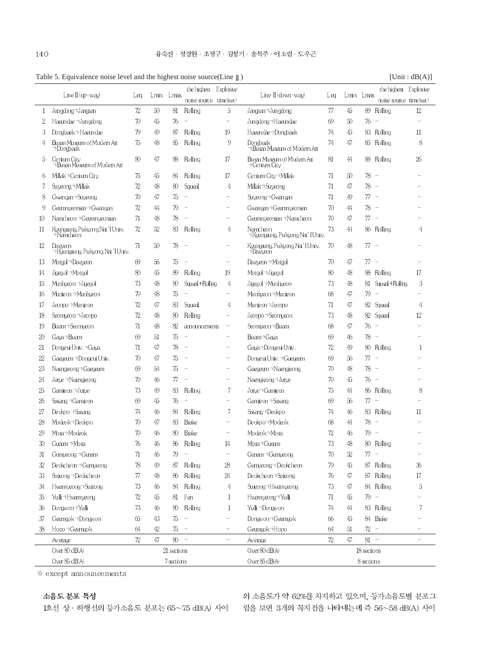|              | Table 5. Equivalence noise level and the highest noise source(Line $\mathbb I$ ) |                 |        |             |                          |                          |                                                       |                 |        |            |                                   | [Unit : dB(A)]           |
|--------------|----------------------------------------------------------------------------------|-----------------|--------|-------------|--------------------------|--------------------------|-------------------------------------------------------|-----------------|--------|------------|-----------------------------------|--------------------------|
|              |                                                                                  |                 |        |             | the highest Explosive    |                          |                                                       |                 |        |            | the highest Explosive             |                          |
|              | Line II (up-way)                                                                 | Leq             |        | Lmin Lmax   | noise source time sec)   |                          | $\text{Line II}(\text{down}-\text{way})$              | Laq             |        | Lmin Lmax  | moise source time sec)            |                          |
| $\mathbf{1}$ | Jungdong->Jangsan                                                                | $7\!\mathrm{2}$ | $50\,$ | 81          | Rolling                  | 5                        | Jangsan <sup>-&gt;</sup> Jungdong                     | $\pi$           | 45     |            | 89 Rolling                        | 12                       |
| 2            | Haandae $\neg$ Jungdong                                                          | 70              | 45     | 76          | $\overline{\phantom{a}}$ |                          | Jungdong→Haaundae                                     | 69              | 50     | $76 -$     |                                   |                          |
| 3            | Dongbaek→Haeundae                                                                | 79              | 49     | 87          | Rolling                  | 19                       | Haandae->Dongbaek                                     | 74              | 45     |            | 83 Rolling                        | $11\,$                   |
| 4            | Busan Museum of Modem Art<br>⇒Dongbaek                                           | 75              | 48     | 85          | Rolling                  | 9                        | Dongback<br>⇒Busen Museum of Modem Art                | 74              | 47     |            | 85 Rolling                        | 8                        |
| 5            | Centum City<br>→ Busan Museum of Modem Art                                       | 80              | 47     | 88          | Rolling                  | 17                       | Busan Museum of Modem Art<br>⇒Centum City             | 81              | 44     |            | 88 Rolling                        | 26                       |
| 6            | Millak→Centum City                                                               | 75              | 45     | 84          | Rolling                  | 17                       | Centum City <sup>-&gt;</sup> Millak                   | 71              | 50     | $78 -$     |                                   |                          |
|              | Suyeong⇒Millak                                                                   | 72              | 48     | 80          | Saugal                   | 4                        | Millak→Suveong                                        | 71              | 47     | $78 -$     |                                   |                          |
| 8            | Gwangan⇒Suyeong                                                                  | 70              | 47     | 75          | $\overline{\phantom{0}}$ |                          | Suyeong > Gwangan                                     | 71              | 49     | 77 -       |                                   |                          |
| 9            | Geumnyeonsen → Gwangan                                                           | 72              | 44     | 79          | ٠                        | $\overline{\phantom{a}}$ | Gwangan <sup>-&gt;</sup> Geumnyeonsan                 | 70              | 44     | 78         |                                   |                          |
| $10\,$       | Namcheon → Geumn veonsan                                                         | 71              | 48     | 78          |                          |                          | Geumnyeonsen∋Namcheon                                 | 70              | 47     | $\pi$ -    |                                   |                          |
| 11           | Kungaing, Puktong Nat 'I Univ.<br>⇒Namcheon                                      | 72              | 52     | 83          | Rolling                  | 4                        | Namcheon<br>. wane<br>⇒Kyungsung, Pukyong Nat' HJniv. | 73              | 44     |            | 86 Rolling                        | 4                        |
| 12           | Daeveon<br>→Kungaung, Pukuong Nat 'I Univ.                                       | 71              | 50     | 78          |                          |                          | Kyungsung, Pukyong Nat' Hiniv.<br>$\neg$ Daeveon      | 70              | 48     | $77 -$     |                                   |                          |
| 13           | Motgol→Daeyeon                                                                   | 69              | 56     | 75          |                          | $\overline{\phantom{0}}$ | Daeyeon⇒Motgol                                        | 70              | 47     | $\pi$ -    |                                   |                          |
| 14           | Jigegol⇒Motgol                                                                   | 80              | 45     | 89          | Rolling                  | 19                       | Motgol⇒Jigegol                                        | 80              | 48     |            | 88 Rolling                        | 17                       |
| 15           | Munhyeon → Jigegol                                                               | 73              | 48     | 80          | Squeal+Rolling           | 4                        | Jigegol→Munhyeon                                      | 73              | 48     |            | 81 Squal+Rolling                  | 3                        |
| 16           | Munjeon $\rightarrow$ Munhyeon                                                   | 70              | 48     | 75          | $\overline{\phantom{0}}$ | $\overline{\phantom{0}}$ | Munhyeon⇒Munjeon                                      | 68              | 47     | 79         | $\overline{\phantom{a}}$          |                          |
| 17           | Jeom¤→Munjeon                                                                    | 72              | 47     | 83          | Squeal                   | 4                        | Munjeon⇒Jeompo                                        | 71              | 47     |            | 82 Squeal                         | 4                        |
| 18           | Seomyeon →Jeompo                                                                 | 72              | 48     | 80          | Rolling                  |                          | Jeonpo > Seomyeon                                     | 73              | 48     |            | 82 Squeal                         | 12                       |
| 19           | Buam <sup>→</sup> Seomyeon                                                       | 71              | 48     | 82          | amouncements             | $\overline{\phantom{0}}$ | Seomyeon→Buam                                         | 68              | 47     | $76 -$     |                                   |                          |
| 20           | Gava→Buam                                                                        | 69              | 51     | 75          | $\overline{a}$           |                          | Buam→Gava                                             | 69              | 46     | $78 -$     |                                   |                          |
| 21           | Dongeui Univ.→Gaya                                                               | 71              | 47     | 78          | $\overline{\phantom{0}}$ |                          | Gaya→Dongeui Univ.                                    | 72              | 49     |            | 80 Rolling                        | $\mathbf{1}$             |
| 22           | Gaegam → Dongeui Univ.                                                           | 70              | 47     | 75          | $\overline{\phantom{a}}$ | $\overline{\phantom{a}}$ | Dongeui Univ.→Gaegaum                                 | 69              | 56     | 77         | $\overline{\phantom{a}}$          |                          |
| 23           | Naengjeong > Gaegaum                                                             | 69              | 54     | 75          | $\overline{\phantom{a}}$ |                          | Gaega.m⇒Naengjeong                                    | 70              | 48     | 78         | $\hspace{0.1mm}$ $\hspace{0.1mm}$ |                          |
| 24           | Jurye → Naengjeong                                                               | 70              | 46     | 77          | $\overline{\phantom{0}}$ | -                        | Naengjeong->Jurye                                     | 70              | 45     | 76 -       |                                   |                          |
| 25           | Gamjeon⇒Jurye                                                                    | 73              | 49     | 83          | Rolling                  | 7                        | Jurye <sup>-&gt;</sup> Gamjeon                        | 75              | 44     |            | 86 Rolling                        | 8                        |
| 26           | Sasang → Gamjeon                                                                 | 69              | 45     | 76          | $\overline{\phantom{a}}$ |                          | Gamjeon → Sasang                                      | 69              | 56     | $77 -$     |                                   |                          |
| 27           | Deokpo⇒Sasang                                                                    | 74              | 46     | 84          | Rolling                  | 7                        | Sasang >Deokpo                                        | 74              | 46     |            | 83 Rolling                        | $11\,$                   |
| 28           | Modeok⇒Deokpo                                                                    | 70              | 47     | 83          | <b>Brake</b>             |                          | Deokpo <sup>-&gt;</sup> Modeok                        | 68              | 44     | 78         | $\overline{\phantom{a}}$          |                          |
| 29           | Mora⇒Modeok                                                                      | 70              | 46     | 80          | Brake                    |                          | Modeok⇒Mora                                           | 72              | 46     | 79 -       |                                   |                          |
| 30           | Gunam <sup>→</sup> Mora                                                          | 76              | $46\,$ | C.C.        | Rolling                  | 14                       | Mora→Gunam                                            | 73              | $4\!8$ |            | 80 Rolling                        |                          |
| 31           | Gumµeong⇒Gunam                                                                   | 71              | 46     | 8b<br>79    |                          | $\overline{\phantom{0}}$ | Gunam→Gunnyeong                                       | 70              | 52     | $\pi$ -    |                                   |                          |
| 32           | Deckcheon → Gumyeong                                                             | 78              | 49     | 87          | Rolling                  | ${\rm 28}$               | Gumyeong > Deokcheon                                  | 79              | 45     |            | 87 Rolling                        | 36                       |
| 33           | Sujeong → Deokcheon                                                              | 77              | 48     | 86          | Rolling                  | 24                       | Deokcheon→Sujeong                                     | 76              | 47     |            | 87 Rolling                        | $17\,$                   |
|              |                                                                                  |                 |        |             |                          |                          |                                                       |                 |        |            |                                   |                          |
| 34           | Hwamyeong->Sujeong                                                               | 73              | 46     | 84          | Rolling                  | 4                        | Sujeong->Hwamyeong                                    | 73              | 47     |            | 84 Rolling                        | $\overline{5}$           |
| 35           | Yulli⇒Hwamyeong                                                                  | 72              | 45     | 81          | Fan                      | 1                        | Hwamyeong->Yulli                                      | 71              | 45     | $79 -$     |                                   |                          |
| 36           | Dongwon⇒Yulli                                                                    | 73              | 46     | 80          | Rolling                  | $\mathbf{1}$             | Yulli→Dongwon                                         | 74              | 44     |            | 83 Rolling                        | 7                        |
| 37           | Geungok→Dongwon                                                                  | 65              | 43     | 75          | $\qquad \qquad -$        | $\overline{\phantom{0}}$ | Donavon <sup>-&gt;</sup> Geungok                      | 66              | 45     |            | 84 Brake                          |                          |
| 38           | Hopo → Geumgok                                                                   | 64              | 42     | 75          | $\overline{\phantom{a}}$ | $\overline{\phantom{0}}$ | Gamgok→Hopo                                           | 64              | 51     | $72 -$     |                                   | $\overline{\phantom{0}}$ |
|              | Average                                                                          | $7\!\mathrm{2}$ | 47     | $80 -$      |                          | $\equiv$                 | Average                                               | $7\!\mathrm{2}$ | 47     | $81 -$     |                                   | $\overline{\phantom{0}}$ |
|              | Over 80 dB(A)                                                                    |                 |        | 21 sections |                          |                          | Over 80 dB(A)                                         | 18 sections     |        |            |                                   |                          |
|              | Over 85 dB(A)                                                                    |                 |        | 7 sections  |                          |                          | Over 85 dB(A)                                         |                 |        | 8 sections |                                   |                          |

 $*$  except announcements

#### 소음도 분포 특성

의 소음도가 약 62%를 차지하고 있으며, 등가소음도별 분포그 1호선 상 · 하행선의 등가소음도 분포는 65~75 dB(A) 사이 림을 보면 3개의 꼭지점을 나타내는데 즉 56~58 dB(A) 사이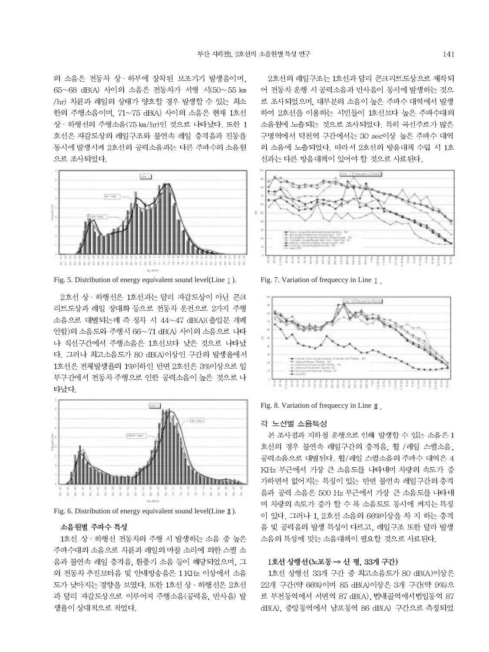의 소음은 전동차 상 · 하부에 장착된 보조기기 발생음이며. 65~68 dB(A) 사이의 소음은 전동차가 서행 시(50~55 km /hr) 차륜과 레일의 상태가 양호할 경우 발생할 수 있는 최소 한의 주행소음이며, 71~75 dB(A) 사이의 소음은 현재 1호선 상 · 하행선의 주행소음(75 km/hr)인 것으로 나타났다. 또한 1 호선은 자갈도상의 레일구조와 불연속 레일 충격음과 진동을 동시에 발생시켜 2호선의 공력소음과는 다른 주파수의 소음원 으로 조사되었다.



Fig. 5. Distribution of energy equivalent sound level(Line  $\lceil \cdot \rceil$ ). Fig. 7. Variation of frequeccy in Line  $\lceil \cdot \rceil$ .

2호선 상 · 하행선은 1호선과는 달리 자갈도상이 아닌 콘크 리트도상과 레일 장대화 등으로 전동차 운전으로 2가지 주행 소음으로 대별되는데 즉 정차 시 44~47 dB(A)(출입문 개폐 안함)의 소음도와 주행시 66~71 dB(A) 사이의 소음으로 나타 나 직선구간에서 주행소음은 1호선보다 낮은 것으로 나타났 다. 그러나 최고소음도가 80 dB(A)이상인 구간의 발생율에서 1호선은 전체발생율의 1%이하인 반면 2호선은 3%이상으로 일 부구간에서 전동차 주행으로 인한 공력소음이 높은 것으로 나 타났다.



Fig. 6. Distribution of energy equivalent sound level(Line  $\mathbb{I}$ ).

#### 소음원별 주파수 특성

1호선 상 · 하행선 전동차의 주행 시 발생하는 소음 중 높은 주파수대의 소음으로 차륜과 레일의 마찰 소리에 의한 스퀼 소 음과 불연속 레일 충격음, 환풍기 소음 등이 해당되었으며, 그 외 전동차 추진모터음 및 안내방송음은 1 KHz 이상에서 소음 도가 낮아지는 경향을 보였다. 또한 1호선 상 · 하행선은 2호선 과 달리 자갈도상으로 이루어져 주행소음(공력음, 반사음) 발 생율이 상대적으로 적었다.

2호선의 레일구조는 1호선과 달리 콘크리트도상으로 제작되 어 전동차 운행 시 공력소음과 반사음이 동시에 발생하는 것으 로 조사되었으며, 대부분의 소음이 높은 주파수 대역에서 발생 하여 2호선을 이용하는 시민들이 1호선보다 높은 주파수대의 소음원에 노출되는 것으로 조사되었다. 특히 곡선주로가 많은 구명역에서 덕천역 구간에서는 30 sec이상 높은 주파수 대역 의 소음에 노출되었다. 따라서 2호선의 방음대책 수립 시 1호 선과는 다른 방음대책이 있어야 할 것으로 사료된다.





Fig. 8. Variation of frequeccy in Line  $\mathbb I$ .

#### 각 노선별 소음특성

본 조사결과 지하철 운행으로 인해 발생할 수 있는 소음은 1 호선의 경우 불연속 레일구간의 충격음, 휠 /레일 스퀼소음, 공력소음으로 대별된다. 휠/레일 스퀼소음의 주파수 대역은 4 KHz 부근에서 가장 큰 소음도를 나타내며 차량의 속도가 증 가하면서 없어지는 특징이 있는 반면 불연속 레일구간의 충격 음과 공력 소음은 500 Hz 부근에서 가장 큰 소음도를 나타내 며 차량의 속도가 증가 할 수 록 소음도도 동시에 커지는 특징 이 있다. 그러나 1. 2호선 소음의 66%이상을 차 지 하는 충격 음 및 공력음의 발생 특성이 다르고, 레일구조 또한 달라 발생 소음의 특성에 맞는 소음대책이 필요할 것으로 사료된다.

#### 1호선 상행선 (노포동 ⇒ 신 평, 33개 구간)

1호선 상행선 33개 구간 중 최고소음도가 80 dB(A)이상은 22개 구간(약 66%)이며 85 dB(A)이상은 3개 구간(약 9%)으 로 부전동역에서 서면역 87 dB(A), 법내골역에서법일동역 87 dB(A), 중앙동역에서 남포동역 86 dB(A) 구간으로 측정되었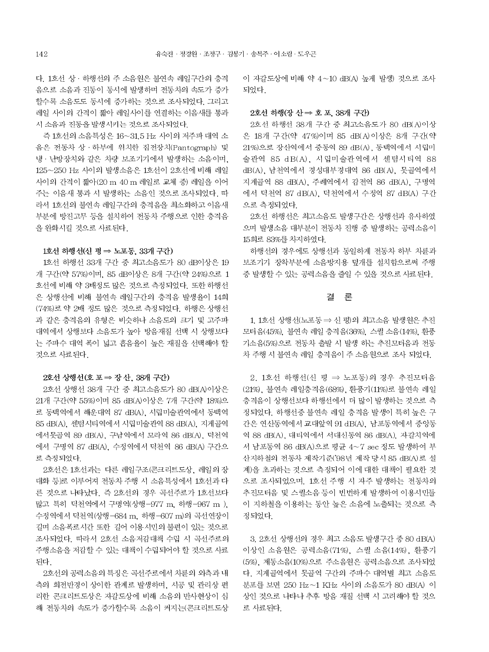다. 1호선 상 · 하행선의 주 소음원은 불연속 레일구간의 충격 음으로 소음과 진동이 동시에 발생하며 전동차의 속도가 증가 할수록 소음도도 동시에 증가하는 것으로 조사되었다. 그리고 레일 사이의 간격이 짧아 레일사이를 연결하는 이음새를 통과 시 소음과 진동을 발생시키는 것으로 조사되었다.

즉 1호선의 소음특성은 16~31.5 Hz 사이의 저주파 대역 소 음은 전동차 상 · 하부에 위치한 집전장치(Pantograph) 및 냉 · 난방장치와 같은 차량 보조기기에서 발생하는 소음이며, 125~250 Hz 사이의 발생소음은 1호선이 2호선에 비해 레일 사이의 간격이 짧아(20 m 40 m 레일로 교체 중) 레일을 이어 주는 이음새 통과 시 발생하는 소음인 것으로 조사되었다. 따 라서 1호선의 불연속 레일구간의 충격음을 최소화하고 이음새 부분에 방진고무 등을 설치하여 전동차 주행으로 인한 충격음 을 완화시킬 것으로 사료된다.

#### 1호선 하행선(신 평 ⇒ 노포동, 33개 구간)

1호선 하행선 33개 구간 중 최고소음도가 80 dB이상은 19 개 구간(약 57%)이며, 85 dB이상은 8개 구간(약 24%)으로 1 호선에 비해 약 3배정도 많은 것으로 측정되었다. 또한 하행선 은 상행선에 비해 불연속 레일구간의 충격음 발생율이 14회 (74%)로 약 2배 정도 많은 것으로 측정되었다. 하행은 상행선 과 같은 충격음의 유형은 비슷하나 소음도의 크기 및 고주파 대역에서 상행보다 소음도가 높아 방음재질 선택 시 상행보다 는 주파수 대역 폭이 넓고 흡음율이 높은 재질을 선택해야 할 것으로 사료된다.

#### 2호선 상행선 (호 포 ⇒ 장 산, 38개 구간)

2호선 상행선 38개 구간 중 최고소음도가 80 dB(A)이상은 21개 구간(약 55%)이며 85 dB(A)이상은 7개 구간(약 18%)으 로 동백역에서 해운대역 87 dB(A), 시립미술관역에서 동백역 85 dB(A), 센텀시티역에서 시립미술관역 88 dB(A), 지게골역 에서못골역 89 dB(A), 구남역에서 모라역 86 dB(A), 덕천역 에서 구명역 87 dB(A), 수정역에서 덕천역 86 dB(A) 구간으 로 측정되었다.

2호선은 1호선과는 다른 레일구조(콘크리트도상, 레일의 장 대화 등)로 이루어져 전동차 주행 시 소음특성에서 1호선과 다 른 것으로 나타났다. 즉 2호선의 경우 곡선주로가 1호선보다 많고 특히 덕천역에서 구명역(상행-977 m, 하행-967 m). 수정역에서 덕천역(상행-684 m, 하행-607 m)의 곡선연장이 길며 소음폭로시간 또한 길어 이용시민의 불편이 있는 것으로 조사되었다. 따라서 2호선 소음저감대책 수립 시 곡선주로의 주행소음을 저감할 수 있는 대책이 수립되어야 할 것으로 사료 된다.

2호선의 공력소음의 특징은 곡선주로에서 차륜의 외측과 내 측의 회전반경이 상이한 관계로 발생하며, 시공 및 관리상 편 리한 콘크리트도상은 자갈도상에 비해 소음의 반사현상이 심 해 전동차의 속도가 증가할수록 소음이 커지는(콘크리트도상 이 자갈도상에 비해 약 4~10 dB(A) 높게 발생) 것으로 조사 되었다.

#### 2호선 하행(장산 => 호포, 38개 구간)

2호선 하행선 38개 구간 중 최고소음도가 80 dB(A)이상 은 18개 구간(약 47%)이며 85 dB(A)이상은 8개 구간(약 21%)으로 장산역에서 중동역 89 dB(A), 동백역에서 시립미 술관역 85 dB(A). 시립미술관역에서 센텀시티역 88 dB(A), 남천역에서 경성대부경대역 86 dB(A), 못골역에서 지게골역 88 dB(A), 주례역에서 감전역 86 dB(A), 구명역 에서 덕천역 87 dB(A), 덕천역에서 수정역 87 dB(A) 구간 으로 측정되었다.

2호선 하행선은 최고소음도 발생구간은 상행선과 유사하였 으며 발생소음 대부분이 전동차 진행 중 발생하는 공력소음이 15회로 83%를 차지하였다.

하행선의 경우에도 상행선과 동일하게 전동차 하부 차륜과 보조기기 장착부분에 소음방지용 덮개를 설치함으로써 주행 중 발생할 수 있는 공력소음을 줄일 수 있을 것으로 사료된다.

#### 결론

1. 1호선 상행선 (노포동 ⇒ 신 평)의 최고소음 발생원은 추진 모터음(45%). 불연속 레일 충격음(36%). 스퀼 소음(14%). 환풍 기소음(5%)으로 전동차 출발 시 발생 하는 추진모터음과 전동 차 주행 시 불연속 레일 충격음이 주 소음원으로 조사 되었다.

2. 1호선 하행선(신 평 ⇒ 노포동)의 경우 추진모터음 (21%), 불연속 레일충격음(68%), 환풍기(11%)로 불연속 레일 충격음이 상행선보다 하행선에서 더 많이 발생하는 것으로 측 정되었다. 하행선중 불연속 레일 충격음 발생이 특히 높은 구 간은 연산동역에서 교대앞역 91 dB(A), 남포동역에서 중앙동 역 88 dB(A), 대티역에서 서대신동역 86 dB(A), 자갈치역에 서 남포동역 86 dB(A)으로 평균 4~7 sec 정도 발생하여 부 산지하철의 전동차 제작기준('98년 제작 당시 85 dB(A)로 설 계)을 초과하는 것으로 측정되어 이에 대한 대책이 필요한 것 으로 조사되었으며, 1호선 주행 시 자주 발생하는 전동차의 추진모터음 및 스퀼소음 등이 빈번하게 발생하여 이용시민들 이 지하철을 이용하는 동안 높은 소음에 노출되는 것으로 측 정되었다.

3. 2호선 상행선의 경우 최고 소음도 발생구간 중 80 dB(A) 이상인 소음원은 공력소음(71%), 스퀼 소음(14%), 환풍기 (5%), 제동소음(10%)으로 주소음원은 공력소음으로 조사되었 다. 지게골역에서 못골역 구간의 주파수 대역별 최고 소음도 분포를 보면 250 Hz ~1 KHz 사이의 소음도가 80 dB(A) 이 상인 것으로 나타나 추후 방음 재질 선택 시 고려해야 할 것으 로 사료된다.